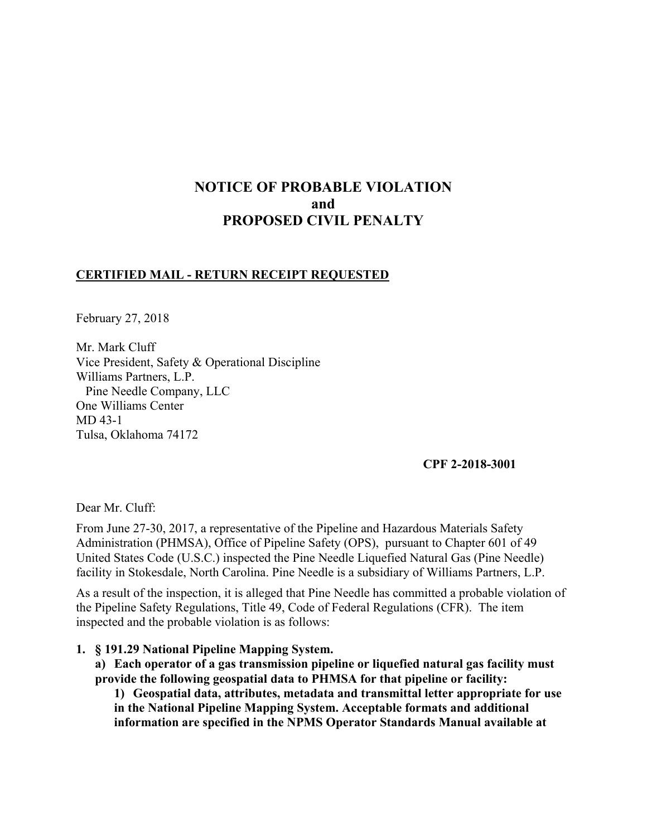# **NOTICE OF PROBABLE VIOLATION and PROPOSED CIVIL PENALTY**

## **CERTIFIED MAIL - RETURN RECEIPT REQUESTED**

February 27, 2018

Mr. Mark Cluff Vice President, Safety & Operational Discipline Williams Partners, L.P. Pine Needle Company, LLC One Williams Center MD 43-1 Tulsa, Oklahoma 74172

### **CPF 2-2018-3001**

Dear Mr. Cluff:

From June 27-30, 2017, a representative of the Pipeline and Hazardous Materials Safety Administration (PHMSA), Office of Pipeline Safety (OPS), pursuant to Chapter 601 of 49 United States Code (U.S.C.) inspected the Pine Needle Liquefied Natural Gas (Pine Needle) facility in Stokesdale, North Carolina. Pine Needle is a subsidiary of Williams Partners, L.P.

As a result of the inspection, it is alleged that Pine Needle has committed a probable violation of the Pipeline Safety Regulations, Title 49, Code of Federal Regulations (CFR). The item inspected and the probable violation is as follows:

**1. § 191.29 National Pipeline Mapping System.** 

**a) Each operator of a gas transmission pipeline or liquefied natural gas facility must provide the following geospatial data to PHMSA for that pipeline or facility:** 

**1) Geospatial data, attributes, metadata and transmittal letter appropriate for use in the National Pipeline Mapping System. Acceptable formats and additional information are specified in the NPMS Operator Standards Manual available at**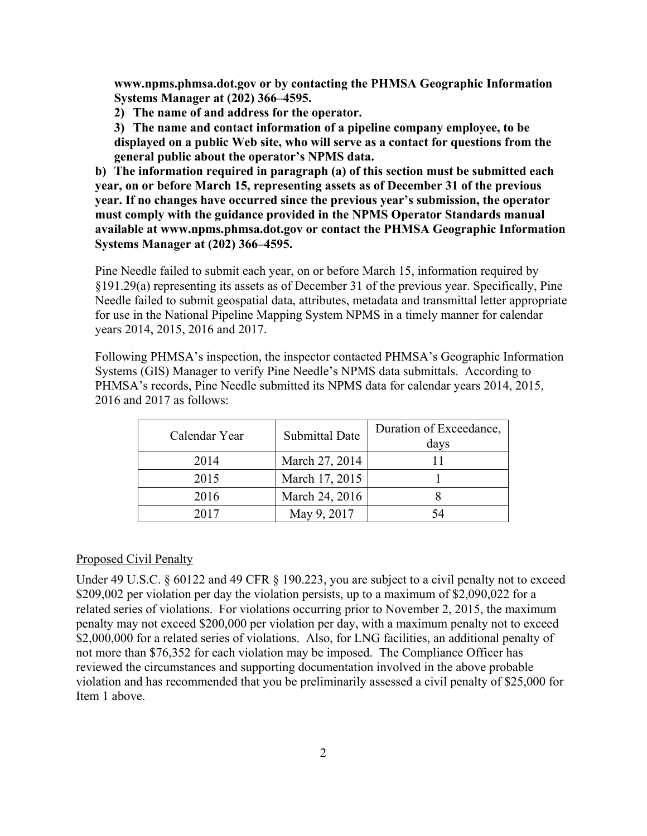**www.npms.phmsa.dot.gov or by contacting the PHMSA Geographic Information Systems Manager at (202) 366–4595.** 

**2) The name of and address for the operator.**

**3) The name and contact information of a pipeline company employee, to be displayed on a public Web site, who will serve as a contact for questions from the general public about the operator's NPMS data.** 

**b) The information required in paragraph (a) of this section must be submitted each year, on or before March 15, representing assets as of December 31 of the previous year. If no changes have occurred since the previous year's submission, the operator must comply with the guidance provided in the NPMS Operator Standards manual available at www.npms.phmsa.dot.gov or contact the PHMSA Geographic Information Systems Manager at (202) 366–4595.** 

Pine Needle failed to submit each year, on or before March 15, information required by §191.29(a) representing its assets as of December 31 of the previous year. Specifically, Pine Needle failed to submit geospatial data, attributes, metadata and transmittal letter appropriate for use in the National Pipeline Mapping System NPMS in a timely manner for calendar years 2014, 2015, 2016 and 2017.

Following PHMSA's inspection, the inspector contacted PHMSA's Geographic Information Systems (GIS) Manager to verify Pine Needle's NPMS data submittals. According to PHMSA's records, Pine Needle submitted its NPMS data for calendar years 2014, 2015, 2016 and 2017 as follows:

| Calendar Year | <b>Submittal Date</b> | Duration of Exceedance,<br>days |
|---------------|-----------------------|---------------------------------|
| 2014          | March 27, 2014        |                                 |
| 2015          | March 17, 2015        |                                 |
| 2016          | March 24, 2016        |                                 |
| 2017          | May 9, 2017           |                                 |

#### Proposed Civil Penalty

Under 49 U.S.C. § 60122 and 49 CFR § 190.223, you are subject to a civil penalty not to exceed \$209,002 per violation per day the violation persists, up to a maximum of \$2,090,022 for a related series of violations. For violations occurring prior to November 2, 2015, the maximum penalty may not exceed \$200,000 per violation per day, with a maximum penalty not to exceed \$2,000,000 for a related series of violations. Also, for LNG facilities, an additional penalty of not more than \$76,352 for each violation may be imposed. The Compliance Officer has reviewed the circumstances and supporting documentation involved in the above probable violation and has recommended that you be preliminarily assessed a civil penalty of \$25,000 for Item 1 above.